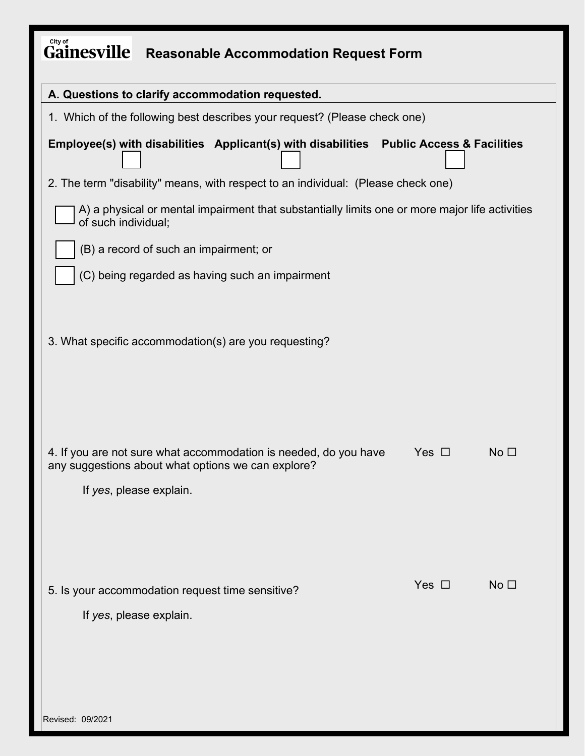| City of<br><b>Gainesville</b><br><b>Reasonable Accommodation Request Form</b>                                                                     |            |                 |  |
|---------------------------------------------------------------------------------------------------------------------------------------------------|------------|-----------------|--|
| A. Questions to clarify accommodation requested.                                                                                                  |            |                 |  |
| 1. Which of the following best describes your request? (Please check one)                                                                         |            |                 |  |
| Employee(s) with disabilities Applicant(s) with disabilities Public Access & Facilities                                                           |            |                 |  |
| 2. The term "disability" means, with respect to an individual: (Please check one)                                                                 |            |                 |  |
| A) a physical or mental impairment that substantially limits one or more major life activities<br>of such individual;                             |            |                 |  |
| (B) a record of such an impairment; or                                                                                                            |            |                 |  |
| (C) being regarded as having such an impairment                                                                                                   |            |                 |  |
| 3. What specific accommodation(s) are you requesting?                                                                                             |            |                 |  |
| 4. If you are not sure what accommodation is needed, do you have<br>any suggestions about what options we can explore?<br>If yes, please explain. | Yes $\Box$ | No <sub>1</sub> |  |
| 5. Is your accommodation request time sensitive?<br>If yes, please explain.                                                                       | Yes $\Box$ | No <sub>1</sub> |  |
| Revised: 09/2021                                                                                                                                  |            |                 |  |